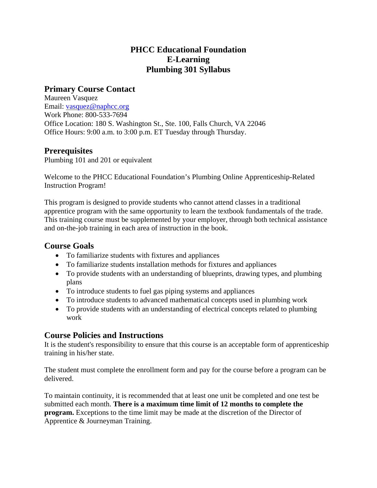# **PHCC Educational Foundation E-Learning Plumbing 301 Syllabus**

# **Primary Course Contact**

Maureen Vasquez Email: vasquez@naphcc.org Work Phone: 800-533-7694 Office Location: 180 S. Washington St., Ste. 100, Falls Church, VA 22046 Office Hours: 9:00 a.m. to 3:00 p.m. ET Tuesday through Thursday.

# **Prerequisites**

Plumbing 101 and 201 or equivalent

Welcome to the PHCC Educational Foundation's Plumbing Online Apprenticeship-Related Instruction Program!

This program is designed to provide students who cannot attend classes in a traditional apprentice program with the same opportunity to learn the textbook fundamentals of the trade. This training course must be supplemented by your employer, through both technical assistance and on-the-job training in each area of instruction in the book.

## **Course Goals**

- To familiarize students with fixtures and appliances
- To familiarize students installation methods for fixtures and appliances
- To provide students with an understanding of blueprints, drawing types, and plumbing plans
- To introduce students to fuel gas piping systems and appliances
- To introduce students to advanced mathematical concepts used in plumbing work
- To provide students with an understanding of electrical concepts related to plumbing work

# **Course Policies and Instructions**

It is the student's responsibility to ensure that this course is an acceptable form of apprenticeship training in his/her state.

The student must complete the enrollment form and pay for the course before a program can be delivered.

To maintain continuity, it is recommended that at least one unit be completed and one test be submitted each month. **There is a maximum time limit of 12 months to complete the program.** Exceptions to the time limit may be made at the discretion of the Director of Apprentice & Journeyman Training.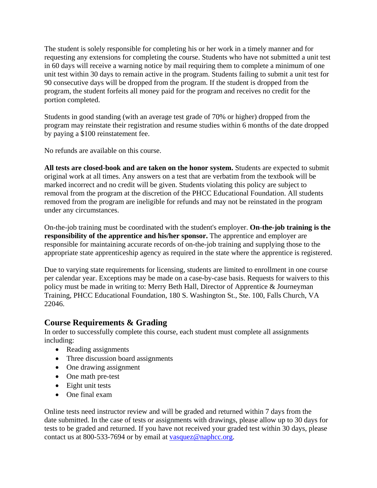The student is solely responsible for completing his or her work in a timely manner and for requesting any extensions for completing the course. Students who have not submitted a unit test in 60 days will receive a warning notice by mail requiring them to complete a minimum of one unit test within 30 days to remain active in the program. Students failing to submit a unit test for 90 consecutive days will be dropped from the program. If the student is dropped from the program, the student forfeits all money paid for the program and receives no credit for the portion completed.

Students in good standing (with an average test grade of 70% or higher) dropped from the program may reinstate their registration and resume studies within 6 months of the date dropped by paying a \$100 reinstatement fee.

No refunds are available on this course.

**All tests are closed-book and are taken on the honor system.** Students are expected to submit original work at all times. Any answers on a test that are verbatim from the textbook will be marked incorrect and no credit will be given. Students violating this policy are subject to removal from the program at the discretion of the PHCC Educational Foundation. All students removed from the program are ineligible for refunds and may not be reinstated in the program under any circumstances.

On-the-job training must be coordinated with the student's employer. **On-the-job training is the responsibility of the apprentice and his/her sponsor.** The apprentice and employer are responsible for maintaining accurate records of on-the-job training and supplying those to the appropriate state apprenticeship agency as required in the state where the apprentice is registered.

Due to varying state requirements for licensing, students are limited to enrollment in one course per calendar year. Exceptions may be made on a case-by-case basis. Requests for waivers to this policy must be made in writing to: Merry Beth Hall, Director of Apprentice & Journeyman Training, PHCC Educational Foundation, 180 S. Washington St., Ste. 100, Falls Church, VA 22046.

## **Course Requirements & Grading**

In order to successfully complete this course, each student must complete all assignments including:

- Reading assignments
- Three discussion board assignments
- One drawing assignment
- One math pre-test
- Eight unit tests
- One final exam

Online tests need instructor review and will be graded and returned within 7 days from the date submitted. In the case of tests or assignments with drawings, please allow up to 30 days for tests to be graded and returned. If you have not received your graded test within 30 days, please contact us at 800-533-7694 or by email at vasquez@naphcc.org.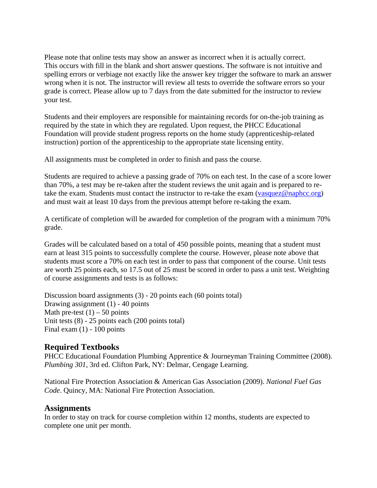Please note that online tests may show an answer as incorrect when it is actually correct. This occurs with fill in the blank and short answer questions. The software is not intuitive and spelling errors or verbiage not exactly like the answer key trigger the software to mark an answer wrong when it is not. The instructor will review all tests to override the software errors so your grade is correct. Please allow up to 7 days from the date submitted for the instructor to review your test.

Students and their employers are responsible for maintaining records for on-the-job training as required by the state in which they are regulated. Upon request, the PHCC Educational Foundation will provide student progress reports on the home study (apprenticeship-related instruction) portion of the apprenticeship to the appropriate state licensing entity.

All assignments must be completed in order to finish and pass the course.

Students are required to achieve a passing grade of 70% on each test. In the case of a score lower than 70%, a test may be re-taken after the student reviews the unit again and is prepared to retake the exam. Students must contact the instructor to re-take the exam (vasquez@naphcc.org) and must wait at least 10 days from the previous attempt before re-taking the exam.

A certificate of completion will be awarded for completion of the program with a minimum 70% grade.

Grades will be calculated based on a total of 450 possible points, meaning that a student must earn at least 315 points to successfully complete the course. However, please note above that students must score a 70% on each test in order to pass that component of the course. Unit tests are worth 25 points each, so 17.5 out of 25 must be scored in order to pass a unit test. Weighting of course assignments and tests is as follows:

Discussion board assignments (3) - 20 points each (60 points total) Drawing assignment (1) - 40 points Math pre-test  $(1)$  – 50 points Unit tests (8) - 25 points each (200 points total) Final exam  $(1)$  - 100 points

## **Required Textbooks**

PHCC Educational Foundation Plumbing Apprentice & Journeyman Training Committee (2008). *Plumbing 301*, 3rd ed. Clifton Park, NY: Delmar, Cengage Learning.

National Fire Protection Association & American Gas Association (2009). *National Fuel Gas Code*. Quincy, MA: National Fire Protection Association.

### **Assignments**

In order to stay on track for course completion within 12 months, students are expected to complete one unit per month.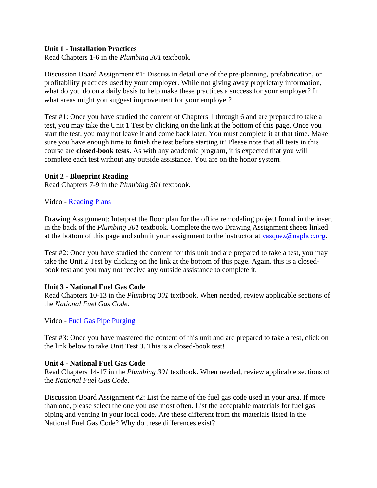#### **Unit 1 - Installation Practices**

Read Chapters 1-6 in the *Plumbing 301* textbook.

Discussion Board Assignment #1: Discuss in detail one of the pre-planning, prefabrication, or profitability practices used by your employer. While not giving away proprietary information, what do you do on a daily basis to help make these practices a success for your employer? In what areas might you suggest improvement for your employer?

Test #1: Once you have studied the content of Chapters 1 through 6 and are prepared to take a test, you may take the Unit 1 Test by clicking on the link at the bottom of this page. Once you start the test, you may not leave it and come back later. You must complete it at that time. Make sure you have enough time to finish the test before starting it! Please note that all tests in this course are **closed-book tests**. As with any academic program, it is expected that you will complete each test without any outside assistance. You are on the honor system.

#### **Unit 2 - Blueprint Reading**

Read Chapters 7-9 in the *Plumbing 301* textbook.

#### Video - Reading Plans

Drawing Assignment: Interpret the floor plan for the office remodeling project found in the insert in the back of the *Plumbing 301* textbook. Complete the two Drawing Assignment sheets linked at the bottom of this page and submit your assignment to the instructor at vasquez@naphcc.org.

Test #2: Once you have studied the content for this unit and are prepared to take a test, you may take the Unit 2 Test by clicking on the link at the bottom of this page. Again, this is a closedbook test and you may not receive any outside assistance to complete it.

#### **Unit 3 - National Fuel Gas Code**

Read Chapters 10-13 in the *Plumbing 301* textbook. When needed, review applicable sections of the *National Fuel Gas Code*.

Video - Fuel Gas Pipe Purging

Test #3: Once you have mastered the content of this unit and are prepared to take a test, click on the link below to take Unit Test 3. This is a closed-book test!

#### **Unit 4 - National Fuel Gas Code**

Read Chapters 14-17 in the *Plumbing 301* textbook. When needed, review applicable sections of the *National Fuel Gas Code*.

Discussion Board Assignment #2: List the name of the fuel gas code used in your area. If more than one, please select the one you use most often. List the acceptable materials for fuel gas piping and venting in your local code. Are these different from the materials listed in the National Fuel Gas Code? Why do these differences exist?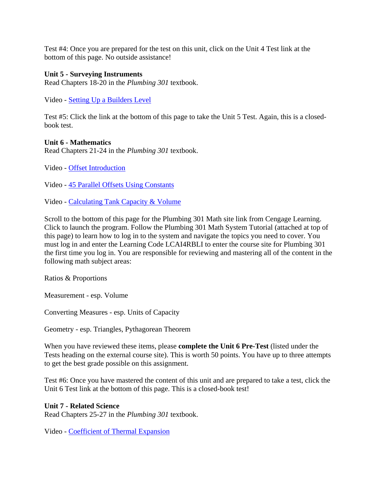Test #4: Once you are prepared for the test on this unit, click on the Unit 4 Test link at the bottom of this page. No outside assistance!

#### **Unit 5 - Surveying Instruments**

Read Chapters 18-20 in the *Plumbing 301* textbook.

Video - Setting Up a Builders Level

Test #5: Click the link at the bottom of this page to take the Unit 5 Test. Again, this is a closedbook test.

#### **Unit 6 - Mathematics**

Read Chapters 21-24 in the *Plumbing 301* textbook.

Video - Offset Introduction

Video - 45 Parallel Offsets Using Constants

Video - Calculating Tank Capacity & Volume

Scroll to the bottom of this page for the Plumbing 301 Math site link from Cengage Learning. Click to launch the program. Follow the Plumbing 301 Math System Tutorial (attached at top of this page) to learn how to log in to the system and navigate the topics you need to cover. You must log in and enter the Learning Code LCAI4RBLI to enter the course site for Plumbing 301 the first time you log in. You are responsible for reviewing and mastering all of the content in the following math subject areas:

Ratios & Proportions

Measurement - esp. Volume

Converting Measures - esp. Units of Capacity

Geometry - esp. Triangles, Pythagorean Theorem

When you have reviewed these items, please **complete the Unit 6 Pre-Test** (listed under the Tests heading on the external course site). This is worth 50 points. You have up to three attempts to get the best grade possible on this assignment.

Test #6: Once you have mastered the content of this unit and are prepared to take a test, click the Unit 6 Test link at the bottom of this page. This is a closed-book test!

#### **Unit 7 - Related Science**

Read Chapters 25-27 in the *Plumbing 301* textbook.

Video - Coefficient of Thermal Expansion